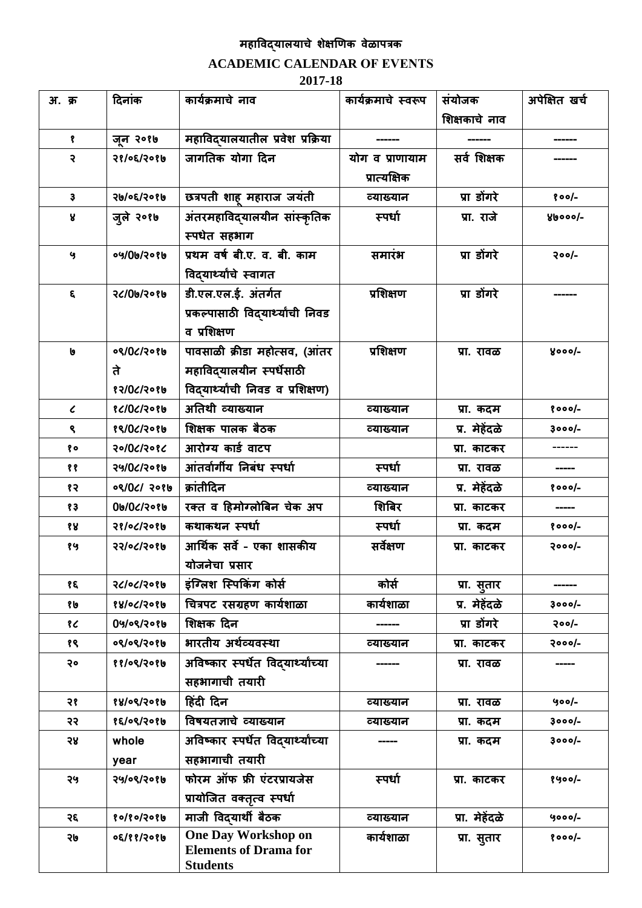# **महाविद्यालयाचे शेक्षणिक िेळापत्रक**

## **ACADEMIC CALENDAR OF EVENTS**

### **2017-18**

| <b>अ.</b> क्र           | दिनांक     | कार्यक्रमाचे नाव                                | कार्यक्रमाचे स्वरूप | संयोजक         | अपेक्षित खर्च |
|-------------------------|------------|-------------------------------------------------|---------------------|----------------|---------------|
|                         |            |                                                 |                     | शिक्षकाचे नाव  |               |
| ₹                       | जुन २०१७   | महाविद्यालयातील प्रवेश प्रक्रिया                |                     |                |               |
| २                       | २१/०६/२०१७ | जागतिक योगा दिन                                 | योग व प्राणायाम     | सर्व शिक्षक    |               |
|                         |            |                                                 | प्रात्यक्षिक        |                |               |
| $\ddot{\mathbf{3}}$     | २७/०६/२०१७ | छत्रपती शाह महाराज जयंती                        | व्याख्यान           | प्रा डोंगरे    | $800/-$       |
| R                       | जुले २०१७  | अंतरमहाविदयालयीन सांस्कृतिक                     | स्पर्धा             | प्रा. राजे     | glooo/-       |
|                         |            | स्पर्धेत सहभाग                                  |                     |                |               |
| G                       | ०५/0७/२०१७ | प्रथम वर्ष बी.ए. व. बी. काम                     | समारंभ              | प्रा डोंगरे    | $200/-$       |
|                         |            | विद्यार्थ्यांचे स्वागत                          |                     |                |               |
| $\boldsymbol{\epsilon}$ | २८/0७/२०१७ | डी.एल.एल.ई. अंतर्गत                             | प्रशिक्षण           | प्रा डोंगरे    |               |
|                         |            | प्रकल्पासाठी विद्यार्थ्यांची निवड               |                     |                |               |
|                         |            | व प्रशिक्षण                                     |                     |                |               |
| b                       | ०९/0८/२०१७ | पावसाळी क्रीडा महोत्सव, (आंतर                   | प्रशिक्षण           | प्रा. रावळ     | $yooo/-$      |
|                         | ते         | महाविद्यालयीन स्पर्धेसाठी                       |                     |                |               |
|                         | 83/06/3086 | विद्यार्थ्यांची निवड व प्रशिक्षण)               |                     |                |               |
| $\epsilon$              | 861061308  | अतिथी व्याख्यान                                 | व्याख्यान           | प्रा. कदम      | $8000/-$      |
| ९                       | १९/0८/२०१७ | शिक्षक पालक बैठक                                | व्याख्यान           | प्र. मेहेंदळे  | ३०००/-        |
| १०                      | २०/०८/२०१८ | आरोग्य कार्ड वाटप                               |                     | प्रा. काटकर    |               |
| ११                      | २५/०८/२०१७ | आंतर्वार्गीय निबंध स्पर्धा                      | स्पर्धा             | प्रा. रावळ     |               |
| १२                      | 08/02/208  | क्रांतीदिन                                      | व्याख्यान           | प्र. मेहेंदळे  | $8000/-$      |
| १३                      | 06/06/2086 | रक्त व हिमोग्लोबिन चेक अप                       | शिबिर               | प्रा. काटकर    |               |
| १४                      | २१/०८/२०१७ | कथाकथन स्पर्धा                                  | स्पर्धा             | प्रा. कदम      | $8000/-$      |
| १५                      | २२/०८/२०१७ | आर्थिक सर्वे - एका शासकीय                       | सर्वेक्षण           | प्रा. काटकर    | २०००/-        |
|                         |            | योजनेचा प्रसार                                  |                     |                |               |
| १६                      | २८/०८/२०१७ | इंग्लिश स्पिकिंग कोर्स                          | कोर्स               | प्रा. सुतार    |               |
| १७                      | 88/06/3086 | चित्रपट रसग्रहण कार्यशाळा                       | कार्यशाळा           | प्र. मेहेंदळे  | ३०००/-        |
| १८                      | 04/08/2086 | शिक्षक दिन                                      |                     | प्रा डोंगरे    | $200/-$       |
| १९                      | ०९/०९/२०१७ | भारतीय अर्थव्यवस्था                             | व्याख्यान           | प्रा. काटकर    | २०००/-        |
| २०                      | ११/०९/२०१७ | अविष्कार स्पर्धेत विद्यार्थ्यांच्या             |                     | प्रा. रावळ     |               |
|                         |            | सहभागाची तयारी                                  |                     |                |               |
| २१                      | १४/०९/२०१७ | हिंदी दिन                                       | व्याख्यान           | प्रा. रावळ     | $900/-$       |
| २२                      | १६/०९/२०१७ | विषयतज्ञाचे व्याख्यान                           | व्याख्यान           | प्रा. कदम      | 3000/-        |
| 58                      | whole      | अविष्कार स्पर्धेत विद्यार्थ्याच्या              |                     | प्रा. कदम      | ३०००/-        |
|                         | year       | सहभागाची तयारी                                  |                     |                |               |
| २५                      | २५/०९/२०१७ | फोरम ऑफ फ्री एंटरप्रायजेस                       | स्पर्धा             | प्रा. काटकर    | १५००/-        |
|                         |            | प्रायोजित वक्तृत्व स्पर्धा                      |                     |                |               |
| २६                      | ४०/१०/२०१७ | माजी विद्यार्थी बैठक                            | व्याख्यान           | प्रा. मेहेंदळे | $9000/-$      |
| २७                      | ०६/११/२०१७ | <b>One Day Workshop on</b>                      | कार्यशाळा           | प्रा. सुतार    | $8000/-$      |
|                         |            | <b>Elements of Drama for</b><br><b>Students</b> |                     |                |               |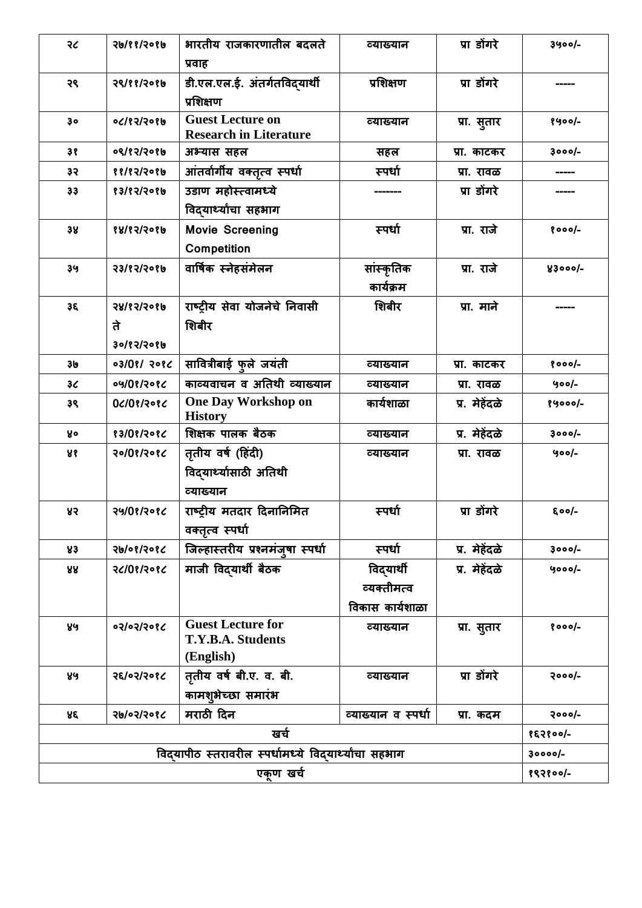| २८       | २७/११/२०१७    | भारतीय राजकारणातील बदलते                             | व्याख्यान           | प्रा डोंगरे   | 3900/-     |  |
|----------|---------------|------------------------------------------------------|---------------------|---------------|------------|--|
|          |               | प्रवाह                                               |                     |               |            |  |
| २९       | २९/११/२०१७    | डी.एल.एल.ई. अंतर्गतविद्यार्थी                        | प्रशिक्षण           | प्रा डोंगरे   |            |  |
|          |               | प्रशिक्षण                                            |                     |               |            |  |
| 30       | 0(182/2086    | <b>Guest Lecture on</b>                              | व्याख्यान           | प्रा. सुतार   | $8900/-$   |  |
| ३१       | ०९/१२/२०१७    | <b>Research in Literature</b><br>अभ्यास सहल          | सहल                 | प्रा. काटकर   | $3000/-$   |  |
| ३२       | 88/82/2086    | आंतर्वार्गीय वक्तृत्व स्पर्धा                        | स्पर्धा             | प्रा. रावळ    |            |  |
| 33       | 83/82/2086    | उडाण महोस्त्वामध्ये                                  |                     | प्रा डोंगरे   |            |  |
|          |               | विद्यार्थ्यांचा सहभाग                                |                     |               |            |  |
| 38       | 88/85/5086    | <b>Movie Screening</b>                               | स्पर्धा             | प्रा. राजे    | $8000/-$   |  |
|          |               | Competition                                          |                     |               |            |  |
| ३५       | 53/65/506     | वार्षिक स्नेहसंमेलन                                  | सांस्कृतिक          | प्रा. राजे    | $83000/-$  |  |
|          |               |                                                      | कार्यक्रम           |               |            |  |
| Зξ       | 581651506     | राष्ट्रीय सेवा योजनेचे निवासी                        | शिबीर               | प्रा. माने    |            |  |
|          | ते            | शिबीर                                                |                     |               |            |  |
|          | ३०/१२/२०१७    |                                                      |                     |               |            |  |
| 36       | ०३/०१/ २०१८   | सावित्रीबाई फुले जयंती                               | व्याख्यान           | प्रा. काटकर   | $8000/-$   |  |
| 36       | $09/0$ ?/20 ? | काव्यवाचन व अतिथी व्याख्यान                          | व्याख्यान           | प्रा. रावळ    | $900/-$    |  |
| ३९       | 0८/0१/२०१८    | <b>One Day Workshop on</b><br><b>History</b>         | कार्यशाळा           | प्र. मेहेंदळे | १५०००/-    |  |
| y.       | १३/0१/२०१८    | शिक्षक पालक बैठक                                     | व्याख्यान           | प्र. मेहेंदळे | $3000/-$   |  |
| ४१       | २०/०१/२०१८    | तृतीय वर्ष (हिंदी)                                   | व्याख्यान           | प्रा. रावळ    | $900/-$    |  |
|          |               | विद्यार्थ्यासाठी अतिथी                               |                     |               |            |  |
|          |               | व्याख्यान                                            |                     |               |            |  |
| ४२       | २५/0१/२०१८    | राष्ट्रीय मतदार दिनानिमित                            | स्पर्धा             | प्रा डोंगरे   | $500/-$    |  |
|          |               | वक्तृत्व स्पर्धा                                     |                     |               |            |  |
| 83       | २७/०१/२०१८    | जिल्हास्तरीय प्रश्नमंजुषा स्पर्धा                    | स्पर्धा             | प्र. मेहेंदळे | $3000/-$   |  |
| 88       | २८/0१/२०१८    | माजी विद् <b>यार्थी बैठक</b>                         | विद्यार्थी          | प्र. मेहेंदळे | 4000/-     |  |
|          |               |                                                      | व्यक्तीमत्व         |               |            |  |
|          |               |                                                      | विकास कार्यशाळा     |               |            |  |
| ४५       | ०३/०३/२०१८    | <b>Guest Lecture for</b><br>T.Y.B.A. Students        | व्याख्यान           | प्रा. सुतार   | $8000/-$   |  |
|          |               | (English)                                            |                     |               |            |  |
| ४५       | २६/०२/२०१८    | तृतीय वर्ष बी.ए. व. बी.                              | व्याख्यान           | प्रा डोंगरे   | २०००/-     |  |
|          |               | कामशुभेच्छा समारंभ                                   |                     |               |            |  |
| ४६       | २७/०२/२०१८    | मराठी दिन                                            | व्याख्यान व स्पर्धा | प्रा. कदम     | $2000/-$   |  |
|          |               | खर्च                                                 |                     |               | $853800/-$ |  |
|          |               | विदयापीठ स्तरावरील स्पर्धामध्ये विदयार्थ्यांचा सहभाग |                     |               | $30000/-$  |  |
| एकण खर्च |               |                                                      |                     |               |            |  |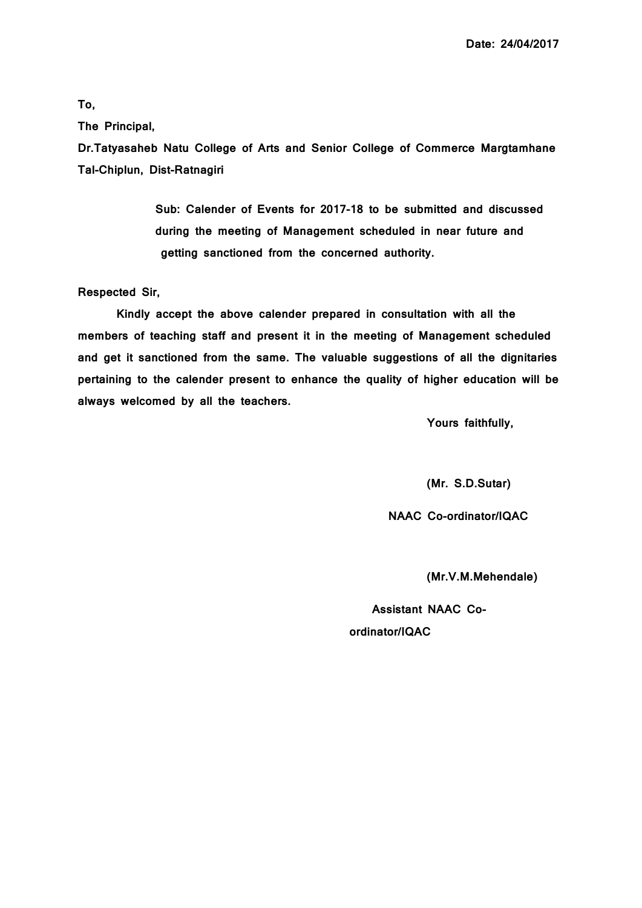**Date: 24/04/2017**

#### **To,**

**The Principal,**

**Dr.Tatyasaheb Natu College of Arts and Senior College of Commerce Margtamhane Tal-Chiplun, Dist-Ratnagiri** 

> **Sub: Calender of Events for 2017-18 to be submitted and discussed during the meeting of Management scheduled in near future and getting sanctioned from the concerned authority.**

#### **Respected Sir,**

**Kindly accept the above calender prepared in consultation with all the members of teaching staff and present it in the meeting of Management scheduled and get it sanctioned from the same. The valuable suggestions of all the dignitaries pertaining to the calender present to enhance the quality of higher education will be always welcomed by all the teachers.** 

**Yours faithfully,** 

**(Mr. S.D.Sutar)**

**NAAC Co-ordinator/IQAC** 

**(Mr.V.M.Mehendale)**

 **Assistant NAAC Coordinator/IQAC**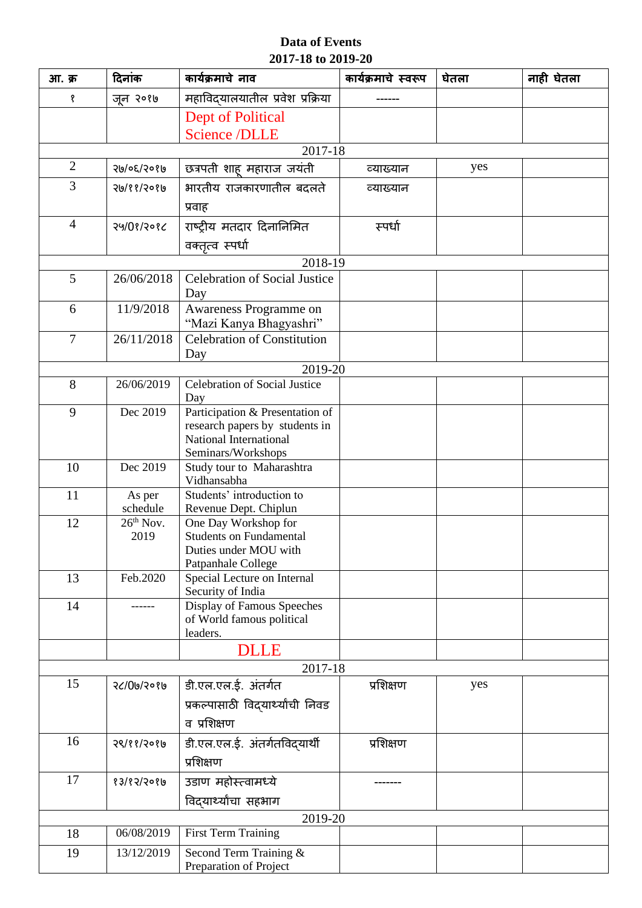## **Data of Events 2017-18 to 2019-20**

| आ. क्र         | दिनांक      | कार्यक्रमाचे नाव                                                  | कार्यक्रमाचे स्वरूप | घेतला | नाही घेतला |
|----------------|-------------|-------------------------------------------------------------------|---------------------|-------|------------|
| Ş              | जुन २०१७    | महाविद्यालयातील प्रवेश प्रक्रिया                                  |                     |       |            |
|                |             | <b>Dept of Political</b>                                          |                     |       |            |
|                |             | <b>Science /DLLE</b>                                              |                     |       |            |
|                |             | 2017-18                                                           |                     |       |            |
| $\overline{2}$ | २७/०६/२०१७  | छत्रपती शाह महाराज जयंती                                          | व्याख्यान           | yes   |            |
| 3              | २७/११/२०१७  | भारतीय राजकारणातील बदलते                                          | व्याख्यान           |       |            |
|                |             | प्रवाह                                                            |                     |       |            |
| $\overline{4}$ | २५/0१/२०१८  | राष्ट्रीय मतदार दिनानिमित                                         | स्पर्धा             |       |            |
|                |             | वक्तृत्व स्पर्धा                                                  |                     |       |            |
|                |             | 2018-19                                                           |                     |       |            |
| 5              | 26/06/2018  | Celebration of Social Justice                                     |                     |       |            |
|                |             | Day                                                               |                     |       |            |
| 6              | 11/9/2018   | Awareness Programme on                                            |                     |       |            |
| 7              | 26/11/2018  | "Mazi Kanya Bhagyashri"<br><b>Celebration of Constitution</b>     |                     |       |            |
|                |             | Day                                                               |                     |       |            |
|                |             | 2019-20                                                           |                     |       |            |
| 8              | 26/06/2019  | Celebration of Social Justice                                     |                     |       |            |
|                |             | Day                                                               |                     |       |            |
| 9              | Dec 2019    | Participation & Presentation of<br>research papers by students in |                     |       |            |
|                |             | National International                                            |                     |       |            |
|                |             | Seminars/Workshops                                                |                     |       |            |
| 10             | Dec 2019    | Study tour to Maharashtra<br>Vidhansabha                          |                     |       |            |
| 11             | As per      | Students' introduction to                                         |                     |       |            |
|                | schedule    | Revenue Dept. Chiplun                                             |                     |       |            |
| 12             | $26th$ Nov. | One Day Workshop for                                              |                     |       |            |
|                | 2019        | <b>Students on Fundamental</b><br>Duties under MOU with           |                     |       |            |
|                |             | Patpanhale College                                                |                     |       |            |
| 13             | Feb.2020    | Special Lecture on Internal                                       |                     |       |            |
|                |             | Security of India                                                 |                     |       |            |
| 14             |             | Display of Famous Speeches<br>of World famous political           |                     |       |            |
|                |             | leaders.                                                          |                     |       |            |
|                |             | <b>DLLE</b>                                                       |                     |       |            |
|                |             | 2017-18                                                           |                     |       |            |
| 15             | २८/0७/२०१७  | डी.एल.एल.ई. अंतर्गत                                               | प्रशिक्षण           | yes   |            |
|                |             | प्रकल्पासाठी विद्यार्थ्यांची निवड                                 |                     |       |            |
|                |             | व प्रशिक्षण                                                       |                     |       |            |
| 16             | २९/११/२०१७  | डी.एल.एल.ई. अंतर्गतविद्यार्थी                                     | प्रशिक्षण           |       |            |
|                |             | प्रशिक्षण                                                         |                     |       |            |
| 17             | 83/85/50810 | उडाण महोस्त्वामध्ये                                               |                     |       |            |
|                |             | विद्यार्थ्यांचा सहभाग                                             |                     |       |            |
|                |             | 2019-20                                                           |                     |       |            |
| 18             | 06/08/2019  | First Term Training                                               |                     |       |            |
| 19             | 13/12/2019  | Second Term Training &                                            |                     |       |            |
|                |             | Preparation of Project                                            |                     |       |            |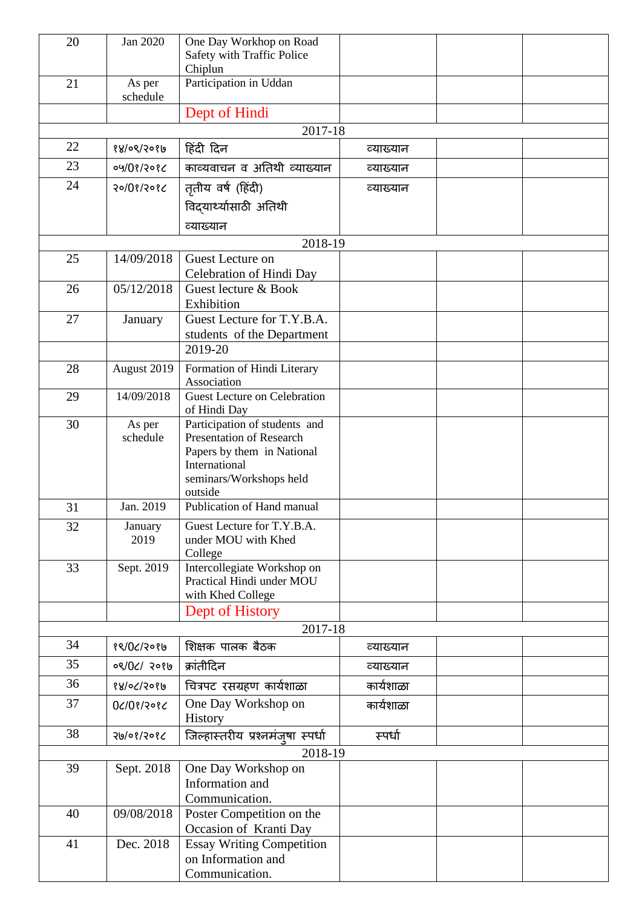| 20 | Jan 2020           | One Day Workhop on Road<br>Safety with Traffic Police     |           |  |
|----|--------------------|-----------------------------------------------------------|-----------|--|
|    |                    | Chiplun                                                   |           |  |
| 21 | As per<br>schedule | Participation in Uddan                                    |           |  |
|    |                    | Dept of Hindi                                             |           |  |
|    |                    | 2017-18                                                   |           |  |
| 22 | १४/०९/२०१७         | हिंदी दिन                                                 | व्याख्यान |  |
| 23 | 04/08/2086         | काव्यवाचन व अतिथी व्याख्यान                               | व्याख्यान |  |
| 24 | २०/०१/२०१८         | तृतीय वर्ष (हिंदी)                                        | व्याख्यान |  |
|    |                    | विद्यार्थ्यासाठी अतिथी                                    |           |  |
|    |                    | व्याख्यान                                                 |           |  |
|    |                    | 2018-19                                                   |           |  |
| 25 | 14/09/2018         | Guest Lecture on<br>Celebration of Hindi Day              |           |  |
| 26 | 05/12/2018         | Guest lecture & Book<br>Exhibition                        |           |  |
| 27 | January            | Guest Lecture for T.Y.B.A.                                |           |  |
|    |                    | students of the Department                                |           |  |
|    |                    | 2019-20                                                   |           |  |
| 28 | August 2019        | Formation of Hindi Literary<br>Association                |           |  |
| 29 | 14/09/2018         | <b>Guest Lecture on Celebration</b><br>of Hindi Day       |           |  |
| 30 | As per<br>schedule | Participation of students and<br>Presentation of Research |           |  |
|    |                    | Papers by them in National                                |           |  |
|    |                    | International                                             |           |  |
|    |                    | seminars/Workshops held<br>outside                        |           |  |
| 31 | Jan. 2019          | Publication of Hand manual                                |           |  |
| 32 | January            | Guest Lecture for T.Y.B.A.                                |           |  |
|    | 2019               | under MOU with Khed                                       |           |  |
|    |                    | College                                                   |           |  |
| 33 | Sept. 2019         | Intercollegiate Workshop on<br>Practical Hindi under MOU  |           |  |
|    |                    | with Khed College                                         |           |  |
|    |                    | Dept of History                                           |           |  |
|    |                    | 2017-18                                                   |           |  |
| 34 | १९/0८/२०१७         | शिक्षक पालक बैठक                                          | व्याख्यान |  |
| 35 | 08/06/2086         | क्रांतीदिन                                                | व्याख्यान |  |
| 36 | १४/०८/२०१७         | चित्रपट रसग्रहण कार्यशाळा                                 | कार्यशाळा |  |
| 37 | 0610813086         | One Day Workshop on                                       | कार्यशाळा |  |
|    |                    | History                                                   |           |  |
| 38 | २७/०१/२०१८         | जिल्हास्तरीय प्रश्नमंजूषा स्पर्धा                         | स्पर्धा   |  |
|    |                    | 2018-19                                                   |           |  |
| 39 | Sept. 2018         | One Day Workshop on                                       |           |  |
|    |                    | Information and<br>Communication.                         |           |  |
| 40 | 09/08/2018         | Poster Competition on the                                 |           |  |
|    |                    | Occasion of Kranti Day                                    |           |  |
| 41 | Dec. 2018          | <b>Essay Writing Competition</b>                          |           |  |
|    |                    | on Information and                                        |           |  |
|    |                    | Communication.                                            |           |  |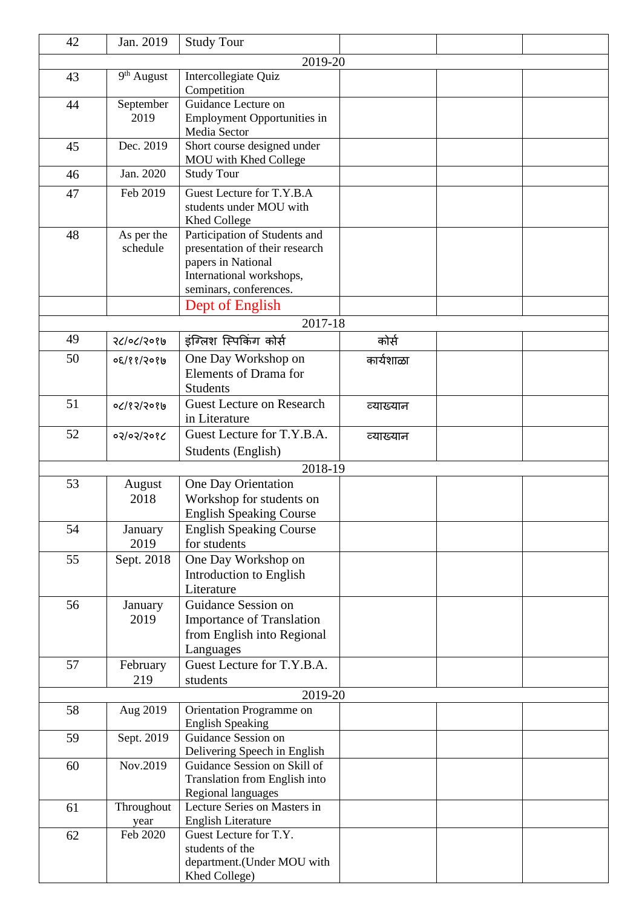| 42 | Jan. 2019              | <b>Study Tour</b>                                                                                                                                              |           |  |
|----|------------------------|----------------------------------------------------------------------------------------------------------------------------------------------------------------|-----------|--|
|    |                        | 2019-20                                                                                                                                                        |           |  |
| 43 | 9 <sup>th</sup> August | Intercollegiate Quiz<br>Competition                                                                                                                            |           |  |
| 44 | September<br>2019      | Guidance Lecture on<br><b>Employment Opportunities in</b><br>Media Sector                                                                                      |           |  |
| 45 | Dec. 2019              | Short course designed under<br>MOU with Khed College                                                                                                           |           |  |
| 46 | Jan. 2020              | <b>Study Tour</b>                                                                                                                                              |           |  |
| 47 | Feb 2019               | Guest Lecture for T.Y.B.A<br>students under MOU with<br><b>Khed College</b>                                                                                    |           |  |
| 48 | As per the<br>schedule | Participation of Students and<br>presentation of their research<br>papers in National<br>International workshops,<br>seminars, conferences.<br>Dept of English |           |  |
|    |                        | 2017-18                                                                                                                                                        |           |  |
| 49 | २८/०८/२०१७             | इंग्लिश स्पिकिंग कोर्स                                                                                                                                         | कोर्स     |  |
| 50 | ०६/११/२०१७             | One Day Workshop on<br>Elements of Drama for<br><b>Students</b>                                                                                                | कार्यशाळा |  |
| 51 | 05/65/50/70            | <b>Guest Lecture on Research</b><br>in Literature                                                                                                              | व्याख्यान |  |
| 52 | 05/05/5065             | Guest Lecture for T.Y.B.A.<br>Students (English)                                                                                                               | व्याख्यान |  |
|    |                        | 2018-19                                                                                                                                                        |           |  |
| 53 | August                 | One Day Orientation                                                                                                                                            |           |  |
|    | 2018                   | Workshop for students on<br><b>English Speaking Course</b>                                                                                                     |           |  |
| 54 | January<br>2019        | <b>English Speaking Course</b><br>for students                                                                                                                 |           |  |
| 55 | Sept. 2018             | One Day Workshop on<br>Introduction to English<br>Literature                                                                                                   |           |  |
| 56 | January<br>2019        | Guidance Session on<br><b>Importance of Translation</b><br>from English into Regional<br>Languages                                                             |           |  |
| 57 | February<br>219        | Guest Lecture for T.Y.B.A.<br>students                                                                                                                         |           |  |
|    |                        | 2019-20                                                                                                                                                        |           |  |
| 58 | Aug 2019               | Orientation Programme on<br><b>English Speaking</b>                                                                                                            |           |  |
| 59 | Sept. 2019             | Guidance Session on<br>Delivering Speech in English                                                                                                            |           |  |
| 60 | Nov.2019               | Guidance Session on Skill of<br>Translation from English into<br>Regional languages                                                                            |           |  |
| 61 | Throughout<br>year     | Lecture Series on Masters in<br><b>English Literature</b>                                                                                                      |           |  |
| 62 | Feb 2020               | Guest Lecture for T.Y.<br>students of the<br>department.(Under MOU with<br>Khed College)                                                                       |           |  |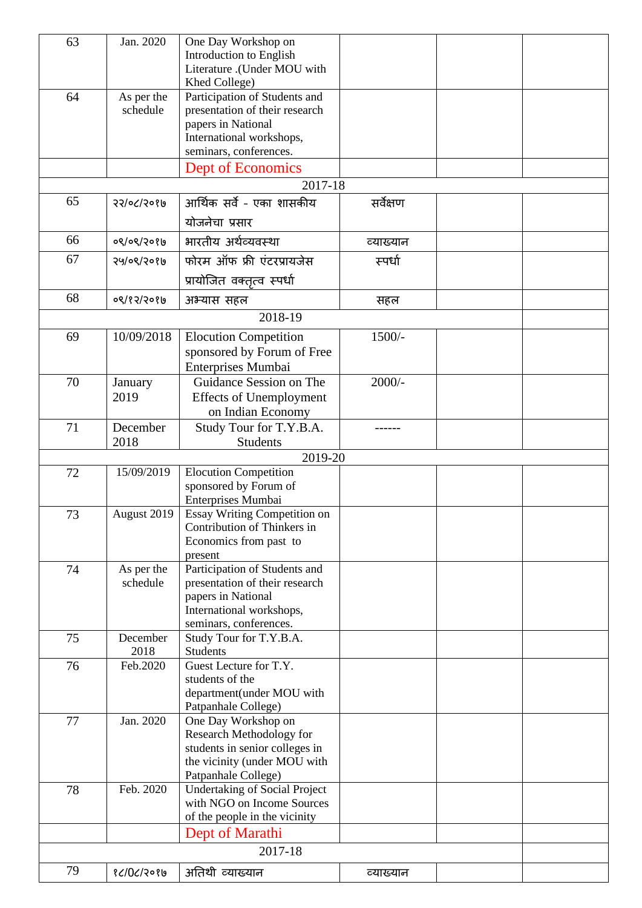| 63 | Jan. 2020              | One Day Workshop on<br>Introduction to English<br>Literature .(Under MOU with<br>Khed College)                                              |           |  |
|----|------------------------|---------------------------------------------------------------------------------------------------------------------------------------------|-----------|--|
| 64 | As per the<br>schedule | Participation of Students and<br>presentation of their research<br>papers in National<br>International workshops,<br>seminars, conferences. |           |  |
|    |                        | Dept of Economics                                                                                                                           |           |  |
|    |                        | 2017-18                                                                                                                                     |           |  |
| 65 | 55/05/506              | आर्थिक सर्वे - एका शासकीय                                                                                                                   | सर्वेक्षण |  |
|    |                        | योजनेचा प्रसार                                                                                                                              |           |  |
| 66 | ०९/०९/२०१७             | भारतीय अर्थव्यवस्था                                                                                                                         | व्याख्यान |  |
| 67 | २५/०९/२०१७             | फोरम ऑफ फ्री एंटरप्रायजेस                                                                                                                   | स्पर्धा   |  |
|    |                        | प्रायोजित वक्तृत्व स्पर्धा                                                                                                                  |           |  |
| 68 | 08/83/3086             | अभ्यास सहल                                                                                                                                  | सहल       |  |
|    |                        | 2018-19                                                                                                                                     |           |  |
| 69 | 10/09/2018             | <b>Elocution Competition</b><br>sponsored by Forum of Free<br>Enterprises Mumbai                                                            | $1500/-$  |  |
| 70 | January<br>2019        | Guidance Session on The<br><b>Effects of Unemployment</b><br>on Indian Economy                                                              | $2000/-$  |  |
| 71 | December<br>2018       | Study Tour for T.Y.B.A.<br><b>Students</b>                                                                                                  | -------   |  |
|    |                        | 2019-20                                                                                                                                     |           |  |
| 72 | 15/09/2019             | <b>Elocution Competition</b><br>sponsored by Forum of<br>Enterprises Mumbai                                                                 |           |  |
| 73 | August 2019            | Essay Writing Competition on<br>Contribution of Thinkers in<br>Economics from past to<br>present                                            |           |  |
| 74 | As per the<br>schedule | Participation of Students and<br>presentation of their research<br>papers in National<br>International workshops,<br>seminars, conferences. |           |  |
| 75 | December<br>2018       | Study Tour for T.Y.B.A.<br><b>Students</b>                                                                                                  |           |  |
| 76 | Feb.2020               | Guest Lecture for T.Y.<br>students of the<br>department(under MOU with<br>Patpanhale College)                                               |           |  |
| 77 | Jan. 2020              | One Day Workshop on<br>Research Methodology for<br>students in senior colleges in<br>the vicinity (under MOU with<br>Patpanhale College)    |           |  |
| 78 | Feb. 2020              | <b>Undertaking of Social Project</b><br>with NGO on Income Sources<br>of the people in the vicinity                                         |           |  |
|    |                        | Dept of Marathi                                                                                                                             |           |  |
|    |                        | 2017-18                                                                                                                                     |           |  |
| 79 | १८/0८/२०१७             | अतिथी व्याख्यान                                                                                                                             | व्याख्यान |  |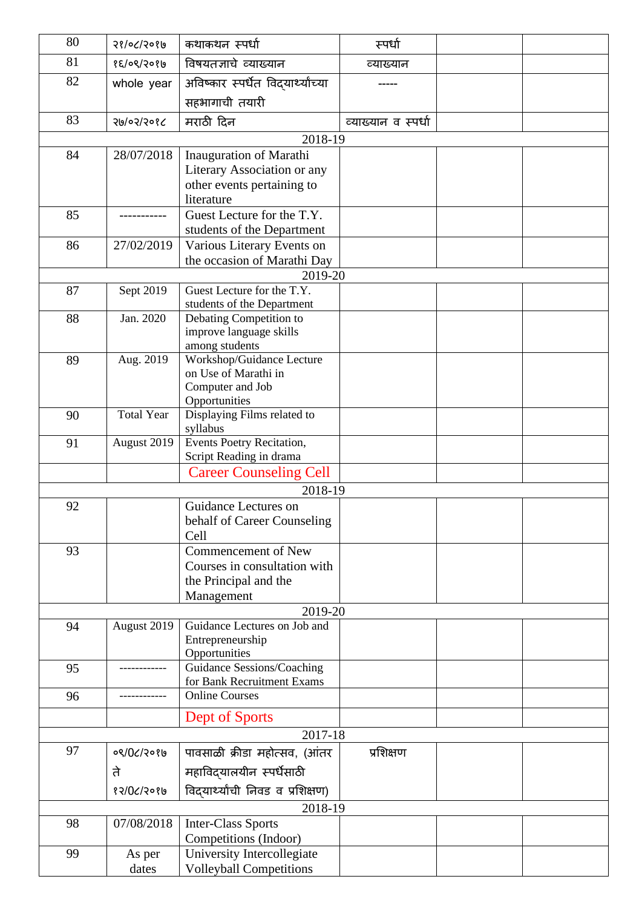| 80 | 98/06/506         | कथाकथन स्पर्धा                               | स्पर्धा             |  |
|----|-------------------|----------------------------------------------|---------------------|--|
| 81 | १६/०९/२०१७        | विषयतज्ञाचे व्याख्यान                        | व्याख्यान           |  |
| 82 | whole year        | अविष्कार स्पर्धेत विद्यार्थ्याच्या           |                     |  |
|    |                   | सहभागाची तयारी                               |                     |  |
| 83 | २७/०२/२०१८        | मराठी दिन                                    | व्याख्यान व स्पर्धा |  |
|    |                   | 2018-19                                      |                     |  |
| 84 | 28/07/2018        | Inauguration of Marathi                      |                     |  |
|    |                   | Literary Association or any                  |                     |  |
|    |                   | other events pertaining to                   |                     |  |
| 85 |                   | literature<br>Guest Lecture for the T.Y.     |                     |  |
|    |                   | students of the Department                   |                     |  |
| 86 | 27/02/2019        | Various Literary Events on                   |                     |  |
|    |                   | the occasion of Marathi Day                  |                     |  |
|    |                   | 2019-20                                      |                     |  |
| 87 | Sept 2019         | Guest Lecture for the T.Y.                   |                     |  |
|    |                   | students of the Department                   |                     |  |
| 88 | Jan. 2020         | Debating Competition to                      |                     |  |
|    |                   | improve language skills<br>among students    |                     |  |
| 89 | Aug. 2019         | Workshop/Guidance Lecture                    |                     |  |
|    |                   | on Use of Marathi in                         |                     |  |
|    |                   | Computer and Job                             |                     |  |
| 90 | <b>Total Year</b> | Opportunities<br>Displaying Films related to |                     |  |
|    |                   | syllabus                                     |                     |  |
| 91 | August 2019       | Events Poetry Recitation,                    |                     |  |
|    |                   | Script Reading in drama                      |                     |  |
|    |                   | <b>Career Counseling Cell</b>                |                     |  |
|    |                   | 2018-19                                      |                     |  |
| 92 |                   | Guidance Lectures on                         |                     |  |
|    |                   | behalf of Career Counseling<br>Cell          |                     |  |
| 93 |                   | <b>Commencement of New</b>                   |                     |  |
|    |                   | Courses in consultation with                 |                     |  |
|    |                   | the Principal and the                        |                     |  |
|    |                   | Management                                   |                     |  |
|    |                   | 2019-20                                      |                     |  |
| 94 | August 2019       | Guidance Lectures on Job and                 |                     |  |
|    |                   | Entrepreneurship<br>Opportunities            |                     |  |
| 95 |                   | Guidance Sessions/Coaching                   |                     |  |
|    |                   | for Bank Recruitment Exams                   |                     |  |
| 96 |                   | <b>Online Courses</b>                        |                     |  |
|    |                   | Dept of Sports                               |                     |  |
|    |                   | 2017-18                                      |                     |  |
| 97 | ०९/0८/२०१७        | पावसाळी क्रीडा महोत्सव, (आंतर                | प्रशिक्षण           |  |
|    | ते                | महाविद्यालयीन स्पर्धेसाठी                    |                     |  |
|    | 85/05/3086        | विद्यार्थ्यांची निवड व प्रशिक्षण)            |                     |  |
|    |                   | 2018-19                                      |                     |  |
| 98 | 07/08/2018        | <b>Inter-Class Sports</b>                    |                     |  |
|    |                   | Competitions (Indoor)                        |                     |  |
| 99 | As per            | University Intercollegiate                   |                     |  |
|    | dates             | <b>Volleyball Competitions</b>               |                     |  |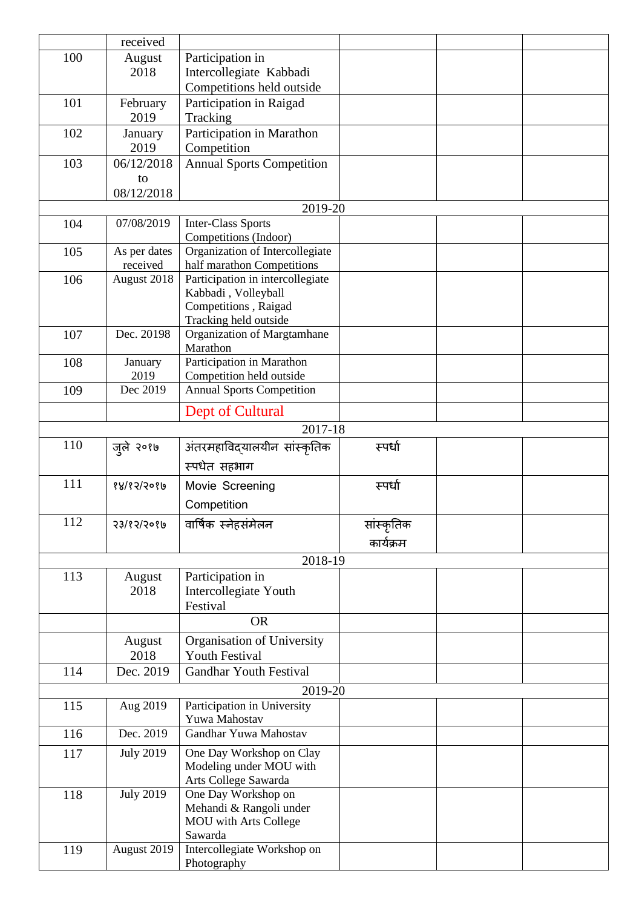|     | received           |                                                  |            |  |
|-----|--------------------|--------------------------------------------------|------------|--|
| 100 | August             | Participation in                                 |            |  |
|     | 2018               | Intercollegiate Kabbadi                          |            |  |
|     |                    | Competitions held outside                        |            |  |
| 101 | February           | Participation in Raigad                          |            |  |
|     | 2019               | Tracking                                         |            |  |
| 102 | January            | Participation in Marathon                        |            |  |
| 103 | 2019<br>06/12/2018 | Competition<br><b>Annual Sports Competition</b>  |            |  |
|     | to                 |                                                  |            |  |
|     | 08/12/2018         |                                                  |            |  |
|     |                    | 2019-20                                          |            |  |
| 104 | 07/08/2019         | <b>Inter-Class Sports</b>                        |            |  |
|     |                    | Competitions (Indoor)                            |            |  |
| 105 | As per dates       | Organization of Intercollegiate                  |            |  |
|     | received           | half marathon Competitions                       |            |  |
| 106 | August 2018        | Participation in intercollegiate                 |            |  |
|     |                    | Kabbadi, Volleyball                              |            |  |
|     |                    | Competitions, Raigad<br>Tracking held outside    |            |  |
| 107 | Dec. 20198         | Organization of Margtamhane                      |            |  |
|     |                    | Marathon                                         |            |  |
| 108 | January            | Participation in Marathon                        |            |  |
|     | 2019               | Competition held outside                         |            |  |
| 109 | Dec 2019           | <b>Annual Sports Competition</b>                 |            |  |
|     |                    | Dept of Cultural                                 |            |  |
|     |                    | 2017-18                                          |            |  |
| 110 |                    |                                                  | स्पर्धा    |  |
|     | जुले २०१७          | अंतरमहाविद्यालयीन सांस्कृतिक                     |            |  |
|     |                    | स्पर्धेत सहभाग                                   |            |  |
| 111 | 88/85/5089         | Movie Screening                                  | स्पर्धा    |  |
|     |                    | Competition                                      |            |  |
| 112 | 5316515061         | वार्षिक स्नेहसंमेलन                              | सांस्कृतिक |  |
|     |                    |                                                  |            |  |
|     |                    |                                                  | कार्यक्रम  |  |
|     |                    | 2018-19                                          |            |  |
| 113 | August             | Participation in                                 |            |  |
|     | 2018               | Intercollegiate Youth                            |            |  |
|     |                    | Festival<br><b>OR</b>                            |            |  |
|     |                    |                                                  |            |  |
|     | August             | Organisation of University                       |            |  |
|     | 2018               | <b>Youth Festival</b>                            |            |  |
| 114 | Dec. 2019          | <b>Gandhar Youth Festival</b>                    |            |  |
|     |                    | 2019-20                                          |            |  |
| 115 | Aug 2019           | Participation in University                      |            |  |
|     |                    | Yuwa Mahostav                                    |            |  |
| 116 | Dec. 2019          | Gandhar Yuwa Mahostav                            |            |  |
| 117 | <b>July 2019</b>   | One Day Workshop on Clay                         |            |  |
|     |                    | Modeling under MOU with                          |            |  |
|     |                    | Arts College Sawarda                             |            |  |
| 118 | <b>July 2019</b>   | One Day Workshop on                              |            |  |
|     |                    | Mehandi & Rangoli under<br>MOU with Arts College |            |  |
|     |                    | Sawarda                                          |            |  |
| 119 | August 2019        | Intercollegiate Workshop on                      |            |  |
|     |                    | Photography                                      |            |  |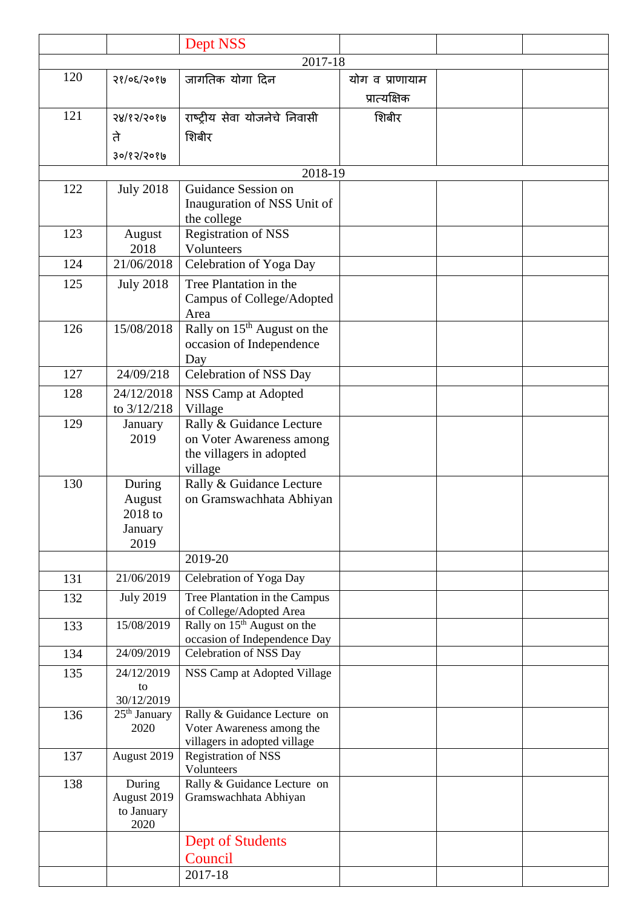|         |                                                | Dept NSS                                                                                    |                                 |  |  |  |
|---------|------------------------------------------------|---------------------------------------------------------------------------------------------|---------------------------------|--|--|--|
| 2017-18 |                                                |                                                                                             |                                 |  |  |  |
| 120     | 56/05/506                                      | जागतिक योगा दिन                                                                             | योग व प्राणायाम<br>प्रात्यक्षिक |  |  |  |
| 121     | 58/85/5080<br>ते<br>३०/१२/२०१७                 | राष्ट्रीय सेवा योजनेचे निवासी<br>शिबीर                                                      | शिबीर                           |  |  |  |
|         |                                                | 2018-19                                                                                     |                                 |  |  |  |
| 122     | <b>July 2018</b>                               | Guidance Session on<br>Inauguration of NSS Unit of<br>the college                           |                                 |  |  |  |
| 123     | August<br>2018                                 | Registration of NSS<br>Volunteers                                                           |                                 |  |  |  |
| 124     | 21/06/2018                                     | Celebration of Yoga Day                                                                     |                                 |  |  |  |
| 125     | <b>July 2018</b>                               | Tree Plantation in the<br>Campus of College/Adopted<br>Area                                 |                                 |  |  |  |
| 126     | 15/08/2018                                     | Rally on 15 <sup>th</sup> August on the<br>occasion of Independence<br>Day                  |                                 |  |  |  |
| 127     | 24/09/218                                      | Celebration of NSS Day                                                                      |                                 |  |  |  |
| 128     | 24/12/2018<br>to 3/12/218                      | NSS Camp at Adopted<br>Village                                                              |                                 |  |  |  |
| 129     | January<br>2019                                | Rally & Guidance Lecture<br>on Voter Awareness among<br>the villagers in adopted<br>village |                                 |  |  |  |
| 130     | During<br>August<br>2018 to<br>January<br>2019 | Rally & Guidance Lecture<br>on Gramswachhata Abhiyan                                        |                                 |  |  |  |
|         |                                                | 2019-20                                                                                     |                                 |  |  |  |
| 131     | 21/06/2019                                     | Celebration of Yoga Day                                                                     |                                 |  |  |  |
| 132     | <b>July 2019</b>                               | Tree Plantation in the Campus<br>of College/Adopted Area                                    |                                 |  |  |  |
| 133     | 15/08/2019                                     | Rally on $15th$ August on the<br>occasion of Independence Day                               |                                 |  |  |  |
| 134     | 24/09/2019                                     | Celebration of NSS Day                                                                      |                                 |  |  |  |
| 135     | 24/12/2019<br>to<br>30/12/2019                 | NSS Camp at Adopted Village                                                                 |                                 |  |  |  |
| 136     | 25 <sup>th</sup> January<br>2020               | Rally & Guidance Lecture on<br>Voter Awareness among the<br>villagers in adopted village    |                                 |  |  |  |
| 137     | August 2019                                    | <b>Registration of NSS</b><br>Volunteers                                                    |                                 |  |  |  |
| 138     | During<br>August 2019<br>to January<br>2020    | Rally & Guidance Lecture on<br>Gramswachhata Abhiyan                                        |                                 |  |  |  |
|         |                                                | <b>Dept of Students</b><br>Council<br>2017-18                                               |                                 |  |  |  |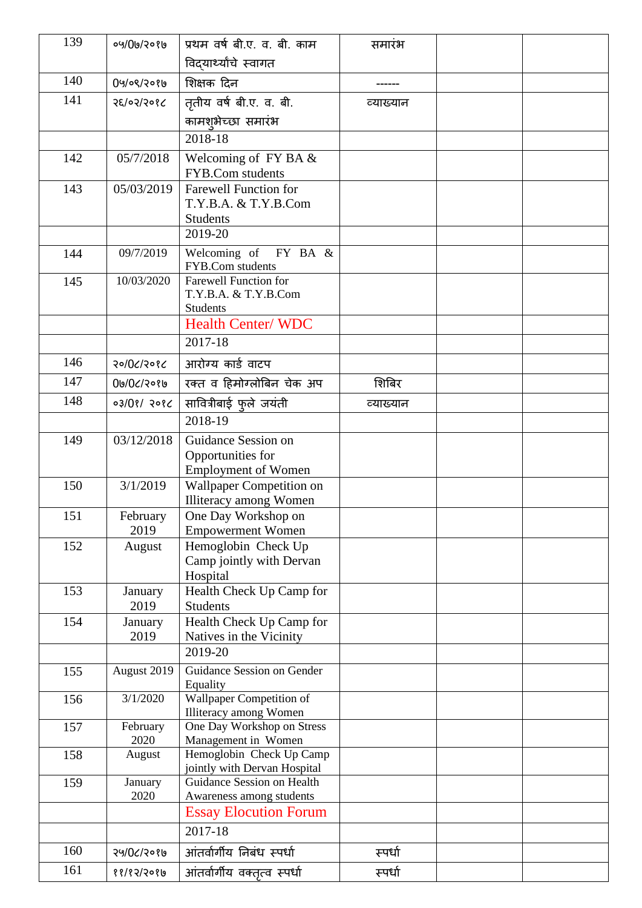| 139 | ०५/0७/२०१७       | प्रथम वर्ष बी.ए. व. बी. काम                                | समारंभ    |  |
|-----|------------------|------------------------------------------------------------|-----------|--|
|     |                  | विद्यार्थ्यांचे स्वागत                                     |           |  |
| 140 | 09/08/2086       | शिक्षक दिन                                                 |           |  |
| 141 | 58/05/5065       | तृतीय वर्ष बी.ए. व. बी.                                    | व्याख्यान |  |
|     |                  | कामश्औच्छा समारंभ                                          |           |  |
|     |                  | 2018-18                                                    |           |  |
| 142 | 05/7/2018        | Welcoming of $FY$ BA $\&$                                  |           |  |
|     |                  | FYB.Com students                                           |           |  |
| 143 | 05/03/2019       | <b>Farewell Function for</b>                               |           |  |
|     |                  | T.Y.B.A. & T.Y.B.Com<br><b>Students</b>                    |           |  |
|     |                  | 2019-20                                                    |           |  |
| 144 | 09/7/2019        | Welcoming of $FY$ BA $\&$                                  |           |  |
|     |                  | FYB.Com students                                           |           |  |
| 145 | 10/03/2020       | <b>Farewell Function for</b><br>T.Y.B.A. & T.Y.B.Com       |           |  |
|     |                  | <b>Students</b>                                            |           |  |
|     |                  | <b>Health Center/WDC</b>                                   |           |  |
|     |                  | 2017-18                                                    |           |  |
| 146 | २०/०८/२०१८       | आरोग्य कार्ड वाटप                                          |           |  |
| 147 | 0७/0८/२०१७       | रक्त व हिमोग्लोबिन चेक अप                                  | शिबिर     |  |
| 148 | 03/08/2086       | सावित्रीबाई फुले जयंती                                     | व्याख्यान |  |
|     |                  | 2018-19                                                    |           |  |
| 149 | 03/12/2018       | Guidance Session on                                        |           |  |
|     |                  | Opportunities for                                          |           |  |
|     |                  | <b>Employment of Women</b>                                 |           |  |
| 150 | 3/1/2019         | Wallpaper Competition on<br>Illiteracy among Women         |           |  |
| 151 | February         | One Day Workshop on                                        |           |  |
|     | 2019             | <b>Empowerment Women</b>                                   |           |  |
| 152 | August           | Hemoglobin Check Up                                        |           |  |
|     |                  | Camp jointly with Dervan<br>Hospital                       |           |  |
| 153 | January          | Health Check Up Camp for                                   |           |  |
|     | 2019             | <b>Students</b>                                            |           |  |
| 154 | January          | Health Check Up Camp for                                   |           |  |
|     | 2019             | Natives in the Vicinity<br>2019-20                         |           |  |
|     |                  | Guidance Session on Gender                                 |           |  |
| 155 | August 2019      | Equality                                                   |           |  |
| 156 | 3/1/2020         | Wallpaper Competition of                                   |           |  |
|     |                  | Illiteracy among Women                                     |           |  |
| 157 | February<br>2020 | One Day Workshop on Stress<br>Management in Women          |           |  |
| 158 | August           | Hemoglobin Check Up Camp                                   |           |  |
|     |                  | jointly with Dervan Hospital<br>Guidance Session on Health |           |  |
| 159 | January<br>2020  | Awareness among students                                   |           |  |
|     |                  | <b>Essay Elocution Forum</b>                               |           |  |
|     |                  | 2017-18                                                    |           |  |
| 160 | २५/०८/२०१७       | आंतर्वार्गीय निबंध स्पर्धा                                 | स्पर्धा   |  |
| 161 | 88/85/5089       | आंतर्वार्गीय वक्तृत्व स्पर्धा                              | स्पर्धा   |  |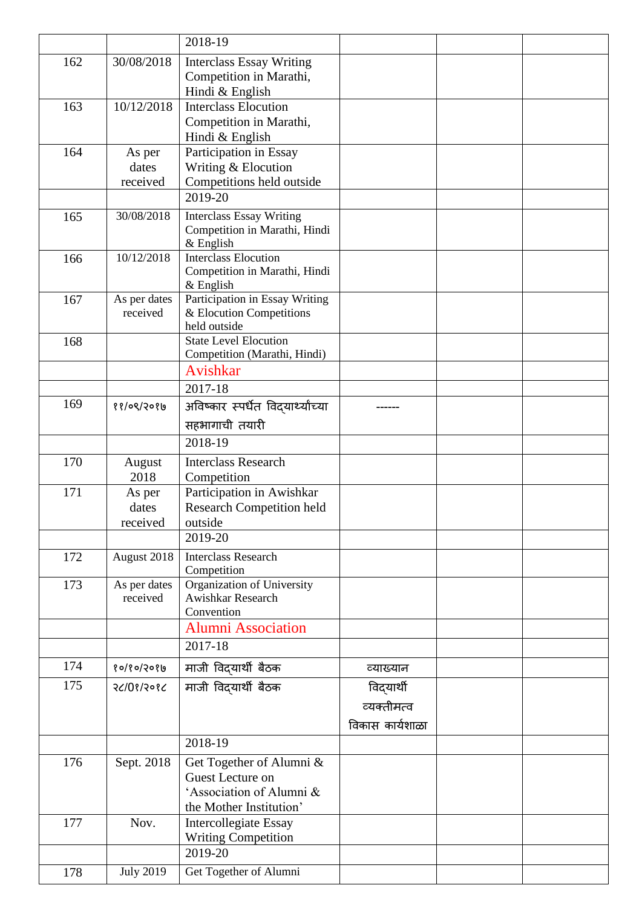|     |                  | 2018-19                                                      |                 |  |
|-----|------------------|--------------------------------------------------------------|-----------------|--|
| 162 | 30/08/2018       | <b>Interclass Essay Writing</b>                              |                 |  |
|     |                  | Competition in Marathi,                                      |                 |  |
|     |                  | Hindi & English                                              |                 |  |
| 163 | 10/12/2018       | <b>Interclass Elocution</b>                                  |                 |  |
|     |                  | Competition in Marathi,                                      |                 |  |
|     |                  | Hindi & English                                              |                 |  |
| 164 | As per           | Participation in Essay                                       |                 |  |
|     | dates            | Writing & Elocution                                          |                 |  |
|     | received         | Competitions held outside                                    |                 |  |
|     |                  | 2019-20                                                      |                 |  |
| 165 | 30/08/2018       | <b>Interclass Essay Writing</b>                              |                 |  |
|     |                  | Competition in Marathi, Hindi                                |                 |  |
| 166 | 10/12/2018       | $&$ English<br>Interclass Elocution                          |                 |  |
|     |                  | Competition in Marathi, Hindi                                |                 |  |
|     |                  | $&$ English                                                  |                 |  |
| 167 | As per dates     | Participation in Essay Writing                               |                 |  |
|     | received         | & Elocution Competitions                                     |                 |  |
|     |                  | held outside                                                 |                 |  |
| 168 |                  | <b>State Level Elocution</b><br>Competition (Marathi, Hindi) |                 |  |
|     |                  | Avishkar                                                     |                 |  |
|     |                  | 2017-18                                                      |                 |  |
| 169 |                  |                                                              |                 |  |
|     | ११/०९/२०१७       | अविष्कार स्पर्धेत विदयार्थ्यांच्या                           |                 |  |
|     |                  | सहभागाची तयारी                                               |                 |  |
|     |                  | 2018-19                                                      |                 |  |
| 170 | August           | <b>Interclass Research</b>                                   |                 |  |
|     | 2018             | Competition                                                  |                 |  |
| 171 | As per           | Participation in Awishkar                                    |                 |  |
|     | dates            | <b>Research Competition held</b>                             |                 |  |
|     | received         | outside<br>2019-20                                           |                 |  |
|     |                  |                                                              |                 |  |
| 172 | August 2018      | <b>Interclass Research</b><br>Competition                    |                 |  |
| 173 | As per dates     | Organization of University                                   |                 |  |
|     | received         | Awishkar Research                                            |                 |  |
|     |                  | Convention                                                   |                 |  |
|     |                  | <b>Alumni Association</b>                                    |                 |  |
|     |                  | 2017-18                                                      |                 |  |
| 174 | १०/१०/२०१७       | माजी विद्यार्थी बैठक                                         | व्याख्यान       |  |
| 175 | २८/0१/२०१८       | माजी विद्यार्थी बैठक                                         | विद्यार्थी      |  |
|     |                  |                                                              | व्यक्तीमत्व     |  |
|     |                  |                                                              |                 |  |
|     |                  |                                                              | विकास कार्यशाळा |  |
|     |                  | 2018-19                                                      |                 |  |
| 176 | Sept. 2018       | Get Together of Alumni &                                     |                 |  |
|     |                  | Guest Lecture on                                             |                 |  |
|     |                  | 'Association of Alumni &                                     |                 |  |
|     |                  | the Mother Institution'                                      |                 |  |
| 177 | Nov.             | <b>Intercollegiate Essay</b>                                 |                 |  |
|     |                  | Writing Competition<br>2019-20                               |                 |  |
|     |                  |                                                              |                 |  |
| 178 | <b>July 2019</b> | Get Together of Alumni                                       |                 |  |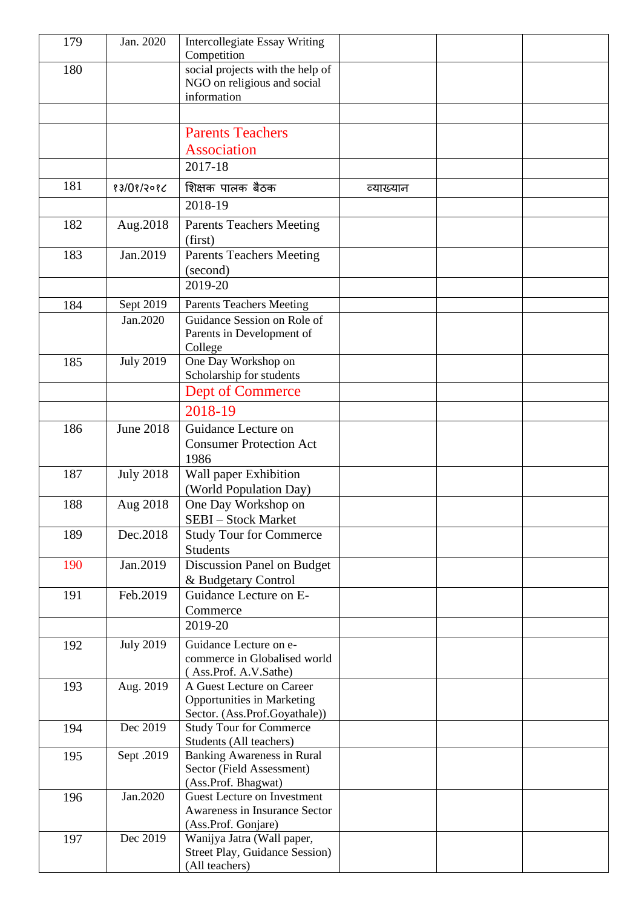| 179 | Jan. 2020             | <b>Intercollegiate Essay Writing</b><br>Competition                            |           |  |
|-----|-----------------------|--------------------------------------------------------------------------------|-----------|--|
| 180 |                       | social projects with the help of<br>NGO on religious and social<br>information |           |  |
|     |                       |                                                                                |           |  |
|     |                       | <b>Parents Teachers</b>                                                        |           |  |
|     |                       | <b>Association</b>                                                             |           |  |
|     |                       | 2017-18                                                                        |           |  |
| 181 | 83/08/2086            | शिक्षक पालक बैठक                                                               | व्याख्यान |  |
|     |                       | 2018-19                                                                        |           |  |
| 182 | Aug.2018              | <b>Parents Teachers Meeting</b><br>(first)                                     |           |  |
| 183 | Jan.2019              | <b>Parents Teachers Meeting</b>                                                |           |  |
|     |                       | (second)                                                                       |           |  |
|     |                       | 2019-20                                                                        |           |  |
| 184 | Sept 2019<br>Jan.2020 | <b>Parents Teachers Meeting</b><br>Guidance Session on Role of                 |           |  |
|     |                       | Parents in Development of<br>College                                           |           |  |
| 185 | <b>July 2019</b>      | One Day Workshop on                                                            |           |  |
|     |                       | Scholarship for students                                                       |           |  |
|     |                       | <b>Dept of Commerce</b>                                                        |           |  |
|     |                       | 2018-19                                                                        |           |  |
| 186 | <b>June 2018</b>      | Guidance Lecture on                                                            |           |  |
|     |                       | <b>Consumer Protection Act</b><br>1986                                         |           |  |
| 187 | <b>July 2018</b>      | Wall paper Exhibition                                                          |           |  |
|     |                       | (World Population Day)                                                         |           |  |
| 188 | Aug 2018              | One Day Workshop on                                                            |           |  |
|     |                       | <b>SEBI</b> – Stock Market                                                     |           |  |
| 189 | Dec.2018              | <b>Study Tour for Commerce</b><br>Students                                     |           |  |
| 190 | Jan.2019              | Discussion Panel on Budget                                                     |           |  |
|     |                       | & Budgetary Control                                                            |           |  |
| 191 | Feb.2019              | Guidance Lecture on E-                                                         |           |  |
|     |                       | Commerce                                                                       |           |  |
|     |                       | 2019-20                                                                        |           |  |
| 192 | <b>July 2019</b>      | Guidance Lecture on e-<br>commerce in Globalised world                         |           |  |
|     |                       | (Ass.Prof. A.V.Sathe)                                                          |           |  |
| 193 | Aug. 2019             | A Guest Lecture on Career                                                      |           |  |
|     |                       | <b>Opportunities in Marketing</b>                                              |           |  |
| 194 | Dec 2019              | Sector. (Ass.Prof.Goyathale))<br><b>Study Tour for Commerce</b>                |           |  |
|     |                       | Students (All teachers)                                                        |           |  |
| 195 | Sept .2019            | <b>Banking Awareness in Rural</b>                                              |           |  |
|     |                       | Sector (Field Assessment)<br>(Ass.Prof. Bhagwat)                               |           |  |
| 196 | Jan.2020              | <b>Guest Lecture on Investment</b>                                             |           |  |
|     |                       | Awareness in Insurance Sector                                                  |           |  |
|     |                       | (Ass.Prof. Gonjare)                                                            |           |  |
| 197 | Dec 2019              | Wanijya Jatra (Wall paper,<br>Street Play, Guidance Session)                   |           |  |
|     |                       | (All teachers)                                                                 |           |  |